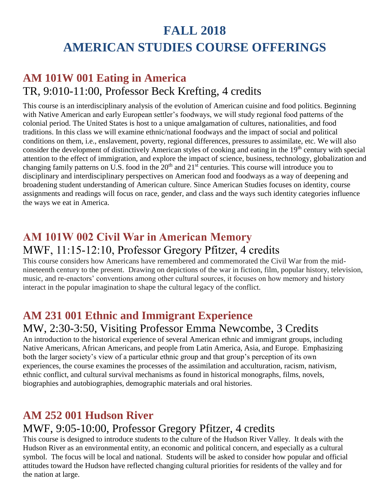# **FALL 2018 AMERICAN STUDIES COURSE OFFERINGS**

# **AM 101W 001 Eating in America** TR, 9:010-11:00, Professor Beck Krefting, 4 credits

This course is an interdisciplinary analysis of the evolution of American cuisine and food politics. Beginning with Native American and early European settler's foodways, we will study regional food patterns of the colonial period. The United States is host to a unique amalgamation of cultures, nationalities, and food traditions. In this class we will examine ethnic/national foodways and the impact of social and political conditions on them, i.e., enslavement, poverty, regional differences, pressures to assimilate, etc. We will also consider the development of distinctively American styles of cooking and eating in the 19<sup>th</sup> century with special attention to the effect of immigration, and explore the impact of science, business, technology, globalization and changing family patterns on U.S. food in the 20<sup>th</sup> and 21<sup>st</sup> centuries. This course will introduce you to disciplinary and interdisciplinary perspectives on American food and foodways as a way of deepening and broadening student understanding of American culture. Since American Studies focuses on identity, course assignments and readings will focus on race, gender, and class and the ways such identity categories influence the ways we eat in America.

#### **AM 101W 002 Civil War in American Memory** MWF, 11:15-12:10, Professor Gregory Pfitzer, 4 credits

This course considers how Americans have remembered and commemorated the Civil War from the midnineteenth century to the present. Drawing on depictions of the war in fiction, film, popular history, television, music, and re-enactors' conventions among other cultural sources, it focuses on how memory and history interact in the popular imagination to shape the cultural legacy of the conflict.

## **AM 231 001 Ethnic and Immigrant Experience**

#### MW, 2:30-3:50, Visiting Professor Emma Newcombe, 3 Credits

An introduction to the historical experience of several American ethnic and immigrant groups, including Native Americans, African Americans, and people from Latin America, Asia, and Europe. Emphasizing both the larger society's view of a particular ethnic group and that group's perception of its own experiences, the course examines the processes of the assimilation and acculturation, racism, nativism, ethnic conflict, and cultural survival mechanisms as found in historical monographs, films, novels, biographies and autobiographies, demographic materials and oral histories.

## **AM 252 001 Hudson River**

## MWF, 9:05-10:00, Professor Gregory Pfitzer, 4 credits

This course is designed to introduce students to the culture of the Hudson River Valley. It deals with the Hudson River as an environmental entity, an economic and political concern, and especially as a cultural symbol. The focus will be local and national. Students will be asked to consider how popular and official attitudes toward the Hudson have reflected changing cultural priorities for residents of the valley and for the nation at large.